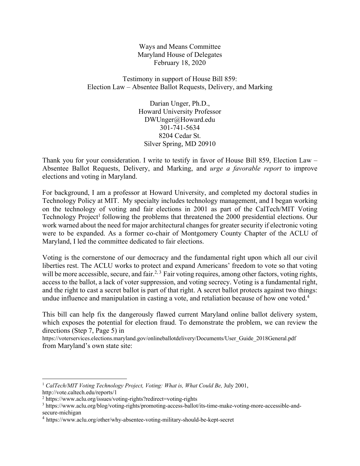Ways and Means Committee Maryland House of Delegates February 18, 2020

Testimony in support of House Bill 859: Election Law – Absentee Ballot Requests, Delivery, and Marking

> Darian Unger, Ph.D., Howard University Professor DWUnger@Howard.edu 301-741-5634 8204 Cedar St. Silver Spring, MD 20910

Thank you for your consideration. I write to testify in favor of House Bill 859, Election Law – Absentee Ballot Requests, Delivery, and Marking, and *urge a favorable report* to improve elections and voting in Maryland.

For background, I am a professor at Howard University, and completed my doctoral studies in Technology Policy at MIT. My specialty includes technology management, and I began working on the technology of voting and fair elections in 2001 as part of the CalTech/MIT Voting Technology Project<sup>1</sup> following the problems that threatened the  $2000$  presidential elections. Our work warned about the need for major architectural changes for greater security if electronic voting were to be expanded. As a former co-chair of Montgomery County Chapter of the ACLU of Maryland, I led the committee dedicated to fair elections.

Voting is the cornerstone of our democracy and the fundamental right upon which all our civil liberties rest. The ACLU works to protect and expand Americans' freedom to vote so that voting will be more accessible, secure, and fair.<sup>2, 3</sup> Fair voting requires, among other factors, voting rights, access to the ballot, a lack of voter suppression, and voting secrecy. Voting is a fundamental right, and the right to cast a secret ballot is part of that right. A secret ballot protects against two things: undue influence and manipulation in casting a vote, and retaliation because of how one voted.<sup>4</sup>

This bill can help fix the dangerously flawed current Maryland online ballot delivery system, which exposes the potential for election fraud. To demonstrate the problem, we can review the directions (Step 7, Page 5) in

https://voterservices.elections.maryland.gov/onlineballotdelivery/Documents/User\_Guide\_2018General.pdf from Maryland's own state site:

<sup>&</sup>lt;sup>1</sup> CalTech/MIT Voting Technology Project, Voting: What is, What Could Be, July 2001, http://vote.caltech.edu/reports/1

<sup>&</sup>lt;sup>2</sup> https://www.aclu.org/issues/voting-rights?redirect=voting-rights

<sup>3</sup> https://www.aclu.org/blog/voting-rights/promoting-access-ballot/its-time-make-voting-more-accessible-andsecure-michigan

<sup>4</sup> https://www.aclu.org/other/why-absentee-voting-military-should-be-kept-secret